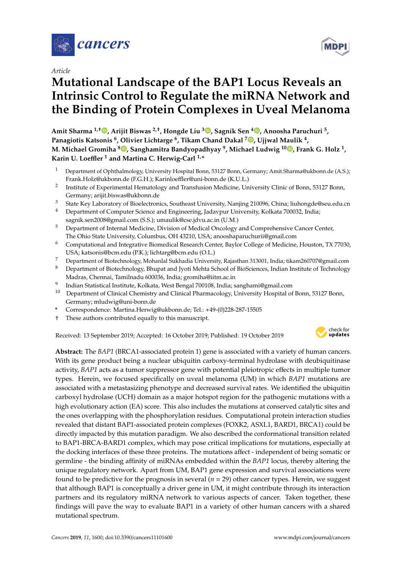

*Article*

# **Mutational Landscape of the BAP1 Locus Reveals an Intrinsic Control to Regulate the miRNA Network and the Binding of Protein Complexes in Uveal Melanoma**

**Amit Sharma 1,**† **, Arijit Biswas 2,**† **, Hongde Liu <sup>3</sup> , Sagnik Sen <sup>4</sup> , Anoosha Paruchuri <sup>5</sup> , Panagiotis Katsonis <sup>6</sup> , Olivier Lichtarge <sup>6</sup> , Tikam Chand Dakal <sup>7</sup> , Ujjwal Maulik <sup>4</sup> , M. Michael Gromiha <sup>8</sup> , Sanghamitra Bandyopadhyay <sup>9</sup> , Michael Ludwig <sup>10</sup> , Frank G. Holz <sup>1</sup> , Karin U. Loe**ffl**er <sup>1</sup> and Martina C. Herwig-Carl 1,\***

- <sup>1</sup> Department of Ophthalmology, University Hospital Bonn, 53127 Bonn, Germany; Amit.Sharma@ukbonn.de (A.S.); Frank.Holz@ukbonn.de (F.G.H.); Karinloeffler@uni-bonn.de (K.U.L.)
- 2 Institute of Experimental Hematology and Transfusion Medicine, University Clinic of Bonn, 53127 Bonn, Germany; arijit.biswas@ukbonn.de
- <sup>3</sup> State Key Laboratory of Bioelectronics, Southeast University, Nanjing 210096, China; liuhongde@seu.edu.cn
- <sup>4</sup> Department of Computer Science and Engineering, Jadavpur University, Kolkata 700032, India; sagnik.sen2008@gmail.com (S.S.); umaulik@cse.jdvu.ac.in (U.M.)
- <sup>5</sup> Department of Internal Medicine, Division of Medical Oncology and Comprehensive Cancer Center, The Ohio State University, Columbus, OH 43210, USA; anooshaparuchurii@gmail.com
- <sup>6</sup> Computational and Integrative Biomedical Research Center, Baylor College of Medicine, Houston, TX 77030, USA; katsonis@bcm.edu (P.K.); lichtarg@bcm.edu (O.L.)
- <sup>7</sup> Department of Biotechnology, Mohanlal Sukhadia University, Rajasthan 313001, India; tikam260707@gmail.com
- <sup>8</sup> Department of Biotechnology, Bhupat and Jyoti Mehta School of BioSciences, Indian Institute of Technology Madras, Chennai, Tamilnadu 600036, India; gromiha@iitm.ac.in
- 9 Indian Statistical Institute, Kolkata, West Bengal 700108, India; sanghami@gmail.com
- <sup>10</sup> Department of Clinical Chemistry and Clinical Pharmacology, University Hospital of Bonn, 53127 Bonn, Germany; mludwig@uni-bonn.de
- **\*** Correspondence: Martina.Herwig@ukbonn.de; Tel.: +49-(0)228-287-15505
- † These authors contributed equally to this manuscript.

Received: 13 September 2019; Accepted: 16 October 2019; Published: 19 October 2019



**Abstract:** The *BAP1* (BRCA1-associated protein 1) gene is associated with a variety of human cancers. With its gene product being a nuclear ubiquitin carboxy-terminal hydrolase with deubiquitinase activity, *BAP1* acts as a tumor suppressor gene with potential pleiotropic effects in multiple tumor types. Herein, we focused specifically on uveal melanoma (UM) in which *BAP1* mutations are associated with a metastasizing phenotype and decreased survival rates. We identified the ubiquitin carboxyl hydrolase (UCH) domain as a major hotspot region for the pathogenic mutations with a high evolutionary action (EA) score. This also includes the mutations at conserved catalytic sites and the ones overlapping with the phosphorylation residues. Computational protein interaction studies revealed that distant BAP1-associated protein complexes (FOXK2, ASXL1, BARD1, BRCA1) could be directly impacted by this mutation paradigm. We also described the conformational transition related to BAP1-BRCA-BARD1 complex, which may pose critical implications for mutations, especially at the docking interfaces of these three proteins. The mutations affect - independent of being somatic or germline - the binding affinity of miRNAs embedded within the *BAP1* locus, thereby altering the unique regulatory network. Apart from UM, BAP1 gene expression and survival associations were found to be predictive for the prognosis in several  $(n = 29)$  other cancer types. Herein, we suggest that although BAP1 is conceptually a driver gene in UM, it might contribute through its interaction partners and its regulatory miRNA network to various aspects of cancer. Taken together, these findings will pave the way to evaluate BAP1 in a variety of other human cancers with a shared mutational spectrum.

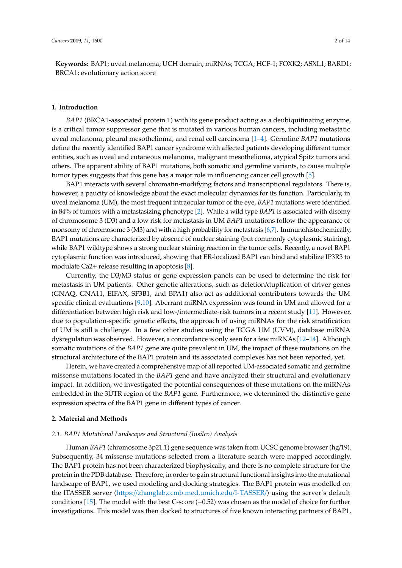**Keywords:** BAP1; uveal melanoma; UCH domain; miRNAs; TCGA; HCF-1; FOXK2; ASXL1; BARD1; BRCA1; evolutionary action score

## **1. Introduction**

*BAP1* (BRCA1-associated protein 1) with its gene product acting as a deubiquitinating enzyme, is a critical tumor suppressor gene that is mutated in various human cancers, including metastatic uveal melanoma, pleural mesothelioma, and renal cell carcinoma [1–4]. Germline *BAP1* mutations define the recently identified BAP1 cancer syndrome with affected patients developing different tumor entities, such as uveal and cutaneous melanoma, malignant mesothelioma, atypical Spitz tumors and others. The apparent ability of BAP1 mutations, both somatic and germline variants, to cause multiple tumor types suggests that this gene has a major role in influencing cancer cell growth [5].

BAP1 interacts with several chromatin-modifying factors and transcriptional regulators. There is, however, a paucity of knowledge about the exact molecular dynamics for its function. Particularly, in uveal melanoma (UM), the most frequent intraocular tumor of the eye, *BAP1* mutations were identified in 84% of tumors with a metastasizing phenotype [2]. While a wild type *BAP1* is associated with disomy of chromosome 3 (D3) and a low risk for metastasis in UM *BAP1* mutations follow the appearance of monsomy of chromosome 3 (M3) and with a high probability for metastasis [6,7]. Immunohistochemically, BAP1 mutations are characterized by absence of nuclear staining (but commonly cytoplasmic staining), while BAP1 wildtype shows a strong nuclear staining reaction in the tumor cells. Recently, a novel BAP1 cytoplasmic function was introduced, showing that ER-localized BAP1 can bind and stabilize IP3R3 to modulate Ca2+ release resulting in apoptosis [8].

Currently, the D3/M3 status or gene expression panels can be used to determine the risk for metastasis in UM patients. Other genetic alterations, such as deletion/duplication of driver genes (GNAQ, GNA11, EIFAX, SF3B1, and BPA1) also act as additional contributors towards the UM specific clinical evaluations [9,10]. Aberrant miRNA expression was found in UM and allowed for a differentiation between high risk and low-/intermediate-risk tumors in a recent study [11]. However, due to population-specific genetic effects, the approach of using miRNAs for the risk stratification of UM is still a challenge. In a few other studies using the TCGA UM (UVM), database miRNA dysregulation was observed. However, a concordance is only seen for a few miRNAs [12–14]. Although somatic mutations of the *BAP1* gene are quite prevalent in UM, the impact of these mutations on the structural architecture of the BAP1 protein and its associated complexes has not been reported, yet.

Herein, we have created a comprehensive map of all reported UM-associated somatic and germline missense mutations located in the *BAP1* gene and have analyzed their structural and evolutionary impact. In addition, we investigated the potential consequences of these mutations on the miRNAs embedded in the 3ÚTR region of the *BAP1* gene. Furthermore, we determined the distinctive gene expression spectra of the BAP1 gene in different types of cancer.

#### **2. Material and Methods**

#### *2.1. BAP1 Mutational Landscapes and Structural (Insilco) Analysis*

Human *BAP1* (chromosome 3p21.1) gene sequence was taken from UCSC genome browser (hg/19). Subsequently, 34 missense mutations selected from a literature search were mapped accordingly. The BAP1 protein has not been characterized biophysically, and there is no complete structure for the protein in the PDB database. Therefore, in order to gain structural functional insights into the mutational landscape of BAP1, we used modeling and docking strategies. The BAP1 protein was modelled on the ITASSER server (https://zhanglab.ccmb.med.umich.edu/I-TASSER/) using the server´s default conditions [15]. The model with the best C-score (−0.52) was chosen as the model of choice for further investigations. This model was then docked to structures of five known interacting partners of BAP1,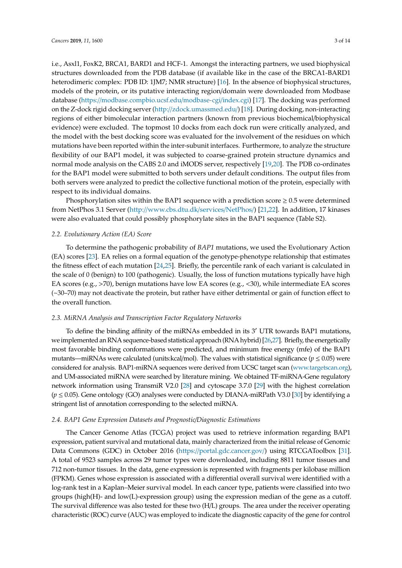i.e., Asxl1, FoxK2, BRCA1, BARD1 and HCF-1. Amongst the interacting partners, we used biophysical structures downloaded from the PDB database (if available like in the case of the BRCA1-BARD1 heterodimeric complex: PDB ID: 1JM7; NMR structure) [16]. In the absence of biophysical structures, models of the protein, or its putative interacting region/domain were downloaded from Modbase database (https://modbase.compbio.ucsf.edu/modbase-cgi/index.cgi) [17]. The docking was performed on the Z-dock rigid docking server (http://zdock.umassmed.edu/) [18]. During docking, non-interacting regions of either bimolecular interaction partners (known from previous biochemical/biophysical evidence) were excluded. The topmost 10 docks from each dock run were critically analyzed, and the model with the best docking score was evaluated for the involvement of the residues on which mutations have been reported within the inter-subunit interfaces. Furthermore, to analyze the structure flexibility of our BAP1 model, it was subjected to coarse-grained protein structure dynamics and normal mode analysis on the CABS 2.0 and iMODS server, respectively [19,20]. The PDB co-ordinates for the BAP1 model were submitted to both servers under default conditions. The output files from both servers were analyzed to predict the collective functional motion of the protein, especially with respect to its individual domains.

Phosphorylation sites within the BAP1 sequence with a prediction score  $\geq 0.5$  were determined from NetPhos 3.1 Server (http://www.cbs.dtu.dk/services/NetPhos/) [21,22]. In addition, 17 kinases were also evaluated that could possibly phosphorylate sites in the BAP1 sequence (Table S2).

#### *2.2. Evolutionary Action (EA) Score*

To determine the pathogenic probability of *BAP1* mutations, we used the Evolutionary Action (EA) scores [23]. EA relies on a formal equation of the genotype-phenotype relationship that estimates the fitness effect of each mutation [24,25]. Briefly, the percentile rank of each variant is calculated in the scale of 0 (benign) to 100 (pathogenic). Usually, the loss of function mutations typically have high EA scores (e.g., >70), benign mutations have low EA scores (e.g., <30), while intermediate EA scores (~30–70) may not deactivate the protein, but rather have either detrimental or gain of function effect to the overall function.

## *2.3. MiRNA Analysis and Transcription Factor Regulatory Networks*

To define the binding affinity of the miRNAs embedded in its 3′ UTR towards BAP1 mutations, weimplemented an RNA sequence-based statistical approach(RNA hybrid) [26,27]. Briefly, the energetically most favorable binding conformations were predicted, and minimum free energy (mfe) of the BAP1 mutants—miRNAs were calculated (units:kcal/mol). The values with statistical significance ( $p \le 0.05$ ) were considered for analysis. BAP1-miRNA sequences were derived from UCSC target scan (www.targetscan.org), and UM-associated miRNA were searched by literature mining. We obtained TF-miRNA-Gene regulatory network information using TransmiR V2.0 [28] and cytoscape 3.7.0 [29] with the highest correlation (*p* ≤ 0.05). Gene ontology (GO) analyses were conducted by DIANA-miRPath V3.0 [30] by identifying a stringent list of annotation corresponding to the selected miRNA.

#### *2.4. BAP1 Gene Expression Datasets and Prognostic*/*Diagnostic Estimations*

The Cancer Genome Atlas (TCGA) project was used to retrieve information regarding BAP1 expression, patient survival and mutational data, mainly characterized from the initial release of Genomic Data Commons (GDC) in October 2016 (https://portal.gdc.cancer.gov/) using RTCGAToolbox [31]. A total of 9523 samples across 29 tumor types were downloaded, including 8811 tumor tissues and 712 non-tumor tissues. In the data, gene expression is represented with fragments per kilobase million (FPKM). Genes whose expression is associated with a differential overall survival were identified with a log-rank test in a Kaplan–Meier survival model. In each cancer type, patients were classified into two groups (high(H)- and low(L)-expression group) using the expression median of the gene as a cutoff. The survival difference was also tested for these two (H/L) groups. The area under the receiver operating characteristic (ROC) curve (AUC) was employed to indicate the diagnostic capacity of the gene for control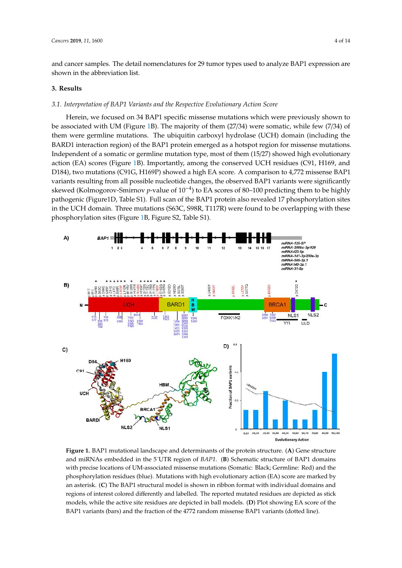and cancer samples. The detail nomenclatures for 29 tumor types used to analyze BAP1 expression are shown in the abbreviation list.

## **3. Results**

## *3.1. Interpretation of BAP1 Variants and the Respective Evolutionary Action Score*

Herein, we focused on 34 BAP1 specific missense mutations which were previously shown to be associated with UM (Figure 1B). The majority of them (27/34) were somatic, while few (7/34) of them were germline mutations. The ubiquitin carboxyl hydrolase (UCH) domain (including the BARD1 interaction region) of the BAP1 protein emerged as a hotspot region for missense mutations. Independent of a somatic or germline mutation type, most of them (15/27) showed high evolutionary action (EA) scores (Figure 1B). Importantly, among the conserved UCH residues (C91, H169, and D184), two mutations (C91G, H169P) showed a high EA score. A comparison to 4,772 missense BAP1 variants resulting from all possible nucleotide changes, the observed BAP1 variants were significantly skewed (Kolmogorov-Smirnov *p*-value of 10−<sup>4</sup> ) to EA scores of 80–100 predicting them to be highly pathogenic (Figure1D, Table S1). Full scan of the BAP1 protein also revealed 17 phosphorylation sites in the UCH domain. Three mutations (S63C, S98R, T117R) were found to be overlapping with these phosphorylation sites (Figure 1B, Figure S2, Table S1).



**Figure 1.** BAP1 mutational landscape and determinants of the protein structure. (**A**) Gene structure and miRNAs embedded in the 5´UTR region of *BAP1*. (**B**) Schematic structure of BAP1 domains with precise locations of UM-associated missense mutations (Somatic: Black; Germline: Red) and the phosphorylation residues (blue). Mutations with high evolutionary action (EA) score are marked by an asterisk. (**C**) The BAP1 structural model is shown in ribbon format with individual domains and regions of interest colored differently and labelled. The reported mutated residues are depicted as stick models, while the active site residues are depicted in ball models. (**D**) Plot showing EA score of the BAP1 variants (bars) and the fraction of the 4772 random missense BAP1 variants (dotted line).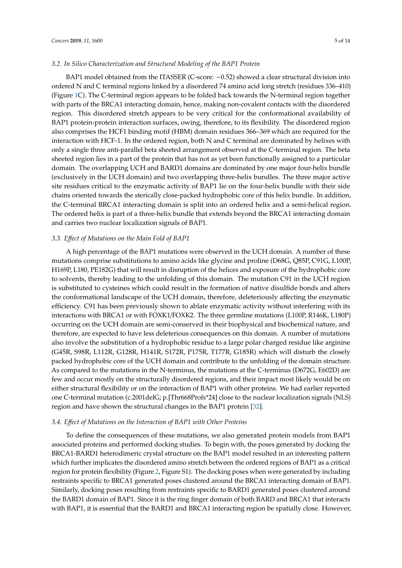#### *3.2. In Silico Characterization and Structural Modeling of the BAP1 Protein*

BAP1 model obtained from the ITASSER (C-score: −0.52) showed a clear structural division into ordered N and C terminal regions linked by a disordered 74 amino acid long stretch (residues 336–410) (Figure 1C). The C-terminal region appears to be folded back towards the N-terminal region together with parts of the BRCA1 interacting domain, hence, making non-covalent contacts with the disordered region. This disordered stretch appears to be very critical for the conformational availability of BAP1 protein-protein interaction surfaces, owing, therefore, to its flexibility. The disordered region also comprises the HCF1 binding motif (HBM) domain residues 366–369 which are required for the interaction with HCF-1. In the ordered region, both N and C terminal are dominated by helixes with only a single three anti-parallel beta sheeted arrangement observed at the C-terminal region. The beta sheeted region lies in a part of the protein that has not as yet been functionally assigned to a particular domain. The overlapping UCH and BARD1 domains are dominated by one major four-helix bundle (exclusively in the UCH domain) and two overlapping three-helix bundles. The three major active site residues critical to the enzymatic activity of BAP1 lie on the four-helix bundle with their side chains oriented towards the sterically close-packed hydrophobic core of this helix bundle. In addition, the C-terminal BRCA1 interacting domain is split into an ordered helix and a semi-helical region. The ordered helix is part of a three-helix bundle that extends beyond the BRCA1 interacting domain and carries two nuclear localization signals of BAP1.

## *3.3. E*ff*ect of Mutations on the Main Fold of BAP1*

A high percentage of the BAP1 mutations were observed in the UCH domain. A number of these mutations comprise substitutions to amino acids like glycine and proline (D68G, Q85P, C91G, L100P, H169P, L180, PE182G) that will result in disruption of the helices and exposure of the hydrophobic core to solvents, thereby leading to the unfolding of this domain. The mutation C91 in the UCH region is substituted to cysteines which could result in the formation of native disulfide bonds and alters the conformational landscape of the UCH domain, therefore, deleteriously affecting the enzymatic efficiency. C91 has been previously shown to ablate enzymatic activity without interfering with its interactions with BRCA1 or with FOXK1/FOXK2. The three germline mutations (L100P, R146K, L180P) occurring on the UCH domain are semi-conserved in their biophysical and biochemical nature, and therefore, are expected to have less deleterious consequences on this domain. A number of mutations also involve the substitution of a hydrophobic residue to a large polar charged residue like arginine (G45R, S98R, L112R, G128R, H141R, S172R, P175R, T177R, G185R) which will disturb the closely packed hydrophobic core of the UCH domain and contribute to the unfolding of the domain structure. As compared to the mutations in the N-terminus, the mutations at the C-terminus (D672G, E602D) are few and occur mostly on the structurally disordered regions, and their impact most likely would be on either structural flexibility or on the interaction of BAP1 with other proteins. We had earlier reported one C-terminal mutation (c.2001delG; p.[Thr668Profs\*24] close to the nuclear localization signals (NLS) region and have shown the structural changes in the BAP1 protein [32].

#### *3.4. E*ff*ect of Mutations on the Interaction of BAP1 with Other Proteins*

To define the consequences of these mutations, we also generated protein models from BAP1 associated proteins and performed docking studies. To begin with, the poses generated by docking the BRCA1-BARD1 heterodimeric crystal structure on the BAP1 model resulted in an interesting pattern which further implicates the disordered amino stretch between the ordered regions of BAP1 as a critical region for protein flexibility (Figure 2, Figure S1). The docking poses when were generated by including restraints specific to BRCA1 generated poses clustered around the BRCA1 interacting domain of BAP1. Similarly, docking poses resulting from restraints specific to BARD1 generated poses clustered around the BARD1 domain of BAP1. Since it is the ring finger domain of both BARD and BRCA1 that interacts with BAP1, it is essential that the BARD1 and BRCA1 interacting region be spatially close. However,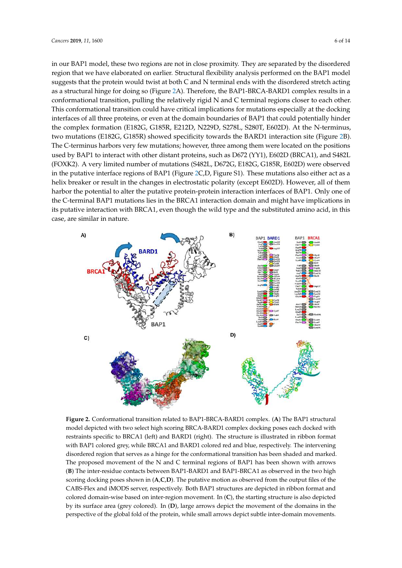in our BAP1 model, these two regions are not in close proximity. They are separated by the disordered region that we have elaborated on earlier. Structural flexibility analysis performed on the BAP1 model suggests that the protein would twist at both C and N terminal ends with the disordered stretch acting as a structural hinge for doing so (Figure 2A). Therefore, the BAP1-BRCA-BARD1 complex results in a conformational transition, pulling the relatively rigid N and C terminal regions closer to each other. This conformational transition could have critical implications for mutations especially at the docking interfaces of all three proteins, or even at the domain boundaries of BAP1 that could potentially hinder the complex formation (E182G, G185R, E212D, N229D, S278L, S280T, E602D). At the N-terminus, two mutations (E182G, G185R) showed specificity towards the BARD1 interaction site (Figure 2B). The C-terminus harbors very few mutations; however, three among them were located on the positions used by BAP1 to interact with other distant proteins, such as D672 (YY1), E602D (BRCA1), and S482L (FOXK2). A very limited number of mutations (S482L, D672G, E182G, G185R, E602D) were observed in the putative interface regions of BAP1 (Figure 2C,D, Figure S1). These mutations also either act as a helix breaker or result in the changes in electrostatic polarity (except E602D). However, all of them harbor the potential to alter the putative protein-protein interaction interfaces of BAP1. Only one of the C-terminal BAP1 mutations lies in the BRCA1 interaction domain and might have implications in its putative interaction with BRCA1, even though the wild type and the substituted amino acid, in this case, are similar in nature.



**Figure 2.** Conformational transition related to BAP1-BRCA-BARD1 complex. (**A**) The BAP1 structural model depicted with two select high scoring BRCA-BARD1 complex docking poses each docked with restraints specific to BRCA1 (left) and BARD1 (right). The structure is illustrated in ribbon format with BAP1 colored grey, while BRCA1 and BARD1 colored red and blue, respectively. The intervening disordered region that serves as a hinge for the conformational transition has been shaded and marked. The proposed movement of the N and C terminal regions of BAP1 has been shown with arrows (**B**) The inter-residue contacts between BAP1-BARD1 and BAP1-BRCA1 as observed in the two high scoring docking poses shown in (**A**,**C**,**D**). The putative motion as observed from the output files of the CABS-Flex and iMODS server, respectively. Both BAP1 structures are depicted in ribbon format and colored domain-wise based on inter-region movement. In (**C**), the starting structure is also depicted by its surface area (grey colored). In (**D**), large arrows depict the movement of the domains in the perspective of the global fold of the protein, while small arrows depict subtle inter-domain movements.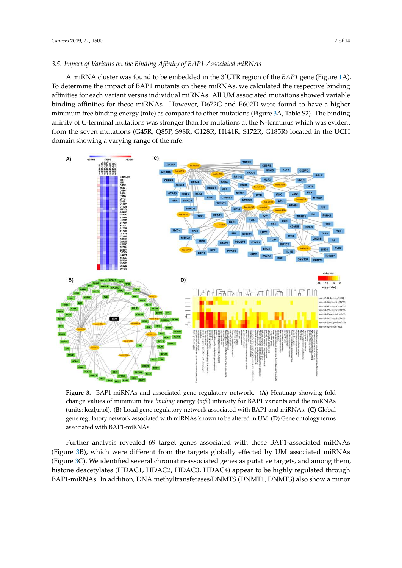## *3.5. Impact of Variants on the Binding A*ffi*nity of BAP1-Associated miRNAs*

A miRNA cluster was found to be embedded in the 3′UTR region of the *BAP1* gene (Figure 1A). To determine the impact of BAP1 mutants on these miRNAs, we calculated the respective binding affinities for each variant versus individual miRNAs. All UM associated mutations showed variable binding affinities for these miRNAs. However, D672G and E602D were found to have a higher minimum free binding energy (mfe) as compared to other mutations (Figure 3A, Table S2). The binding affinity of C-terminal mutations was stronger than for mutations at the N-terminus which was evident from the seven mutations (G45R, Q85P, S98R, G128R, H141R, S172R, G185R) located in the UCH domain showing a varying range of the mfe.



**Figure 3.** BAP1-miRNAs and associated gene regulatory network. (**A**) Heatmap showing fold change values of minimum free *binding* energy (*mfe*) intensity for BAP1 variants and the miRNAs (units: kcal/mol). (**B**) Local gene regulatory network associated with BAP1 and miRNAs. (**C**) Global gene regulatory network associated with miRNAs known to be altered in UM. (**D**) Gene ontology terms associated with BAP1-miRNAs.

Further analysis revealed 69 target genes associated with these BAP1-associated miRNAs (Figure 3B), which were different from the targets globally effected by UM associated miRNAs (Figure 3C). We identified several chromatin-associated genes as putative targets, and among them, histone deacetylates (HDAC1, HDAC2, HDAC3, HDAC4) appear to be highly regulated through BAP1-miRNAs. In addition, DNA methyltransferases/DNMTS (DNMT1, DNMT3) also show a minor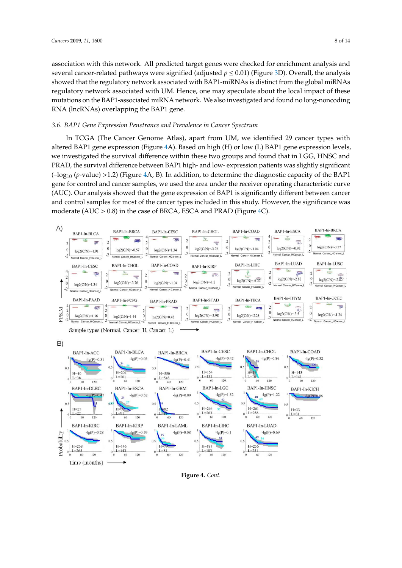association with this network. All predicted target genes were checked for enrichment analysis and several cancer-related pathways were signified (adjusted  $p \le 0.01$ ) (Figure 3D). Overall, the analysis showed that the regulatory network associated with BAP1-miRNAs is distinct from the global miRNAs regulatory network associated with UM. Hence, one may speculate about the local impact of these mutations on the BAP1-associated miRNA network. We also investigated and found no long-noncoding RNA (lncRNAs) overlapping the BAP1 gene.

## *3.6. BAP1 Gene Expression Penetrance and Prevalence in Cancer Spectrum*

In TCGA (The Cancer Genome Atlas), apart from UM, we identified 29 cancer types with altered BAP1 gene expression (Figure 4A). Based on high (H) or low (L) BAP1 gene expression levels, we investigated the survival difference within these two groups and found that in LGG, HNSC and PRAD, the survival difference between BAP1 high- and low- expression patients was slightly significant (–log<sup>10</sup> (*p*-value) >1.2) (Figure 4A, B). In addition, to determine the diagnostic capacity of the BAP1 gene for control and cancer samples, we used the area under the receiver operating characteristic curve (AUC). Our analysis showed that the gene expression of BAP1 is significantly different between cancer and control samples for most of the cancer types included in this study. However, the significance was moderate (AUC > 0.8) in the case of BRCA, ESCA and PRAD (Figure 4C).



**Figure 4.** *Cont.*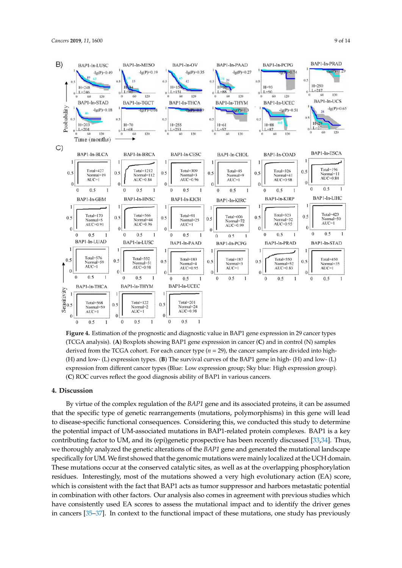![](_page_8_Figure_1.jpeg)

**Figure 4.** Estimation of the prognostic and diagnostic value in BAP1 gene expression in 29 cancer types (TCGA analysis). (**A**) Boxplots showing BAP1 gene expression in cancer (**C**) and in control (N) samples derived from the TCGA cohort. For each cancer type (*n* = 29), the cancer samples are divided into high- (H) and low- (L) expression types. (**B**) The survival curves of the BAP1 gene in high- (H) and low- (L) expression from different cancer types (Blue: Low expression group; Sky blue: High expression group). (**C**) ROC curves reflect the good diagnosis ability of BAP1 in various cancers.

#### **4. Discussion**

By virtue of the complex regulation of the *BAP1* gene and its associated proteins, it can be assumed that the specific type of genetic rearrangements (mutations, polymorphisms) in this gene will lead to disease-specific functional consequences. Considering this, we conducted this study to determine the potential impact of UM-associated mutations in BAP1-related protein complexes. BAP1 is a key contributing factor to UM, and its (epi)genetic prospective has been recently discussed [33,34]. Thus, we thoroughly analyzed the genetic alterations of the *BAP1* gene and generated the mutational landscape specifically for UM.We first showed that the genomic mutations were mainly localized at the UCH domain. These mutations occur at the conserved catalytic sites, as well as at the overlapping phosphorylation residues. Interestingly, most of the mutations showed a very high evolutionary action (EA) score, which is consistent with the fact that BAP1 acts as tumor suppressor and harbors metastatic potential in combination with other factors. Our analysis also comes in agreement with previous studies which have consistently used EA scores to assess the mutational impact and to identify the driver genes in cancers [35–37]. In context to the functional impact of these mutations, one study has previously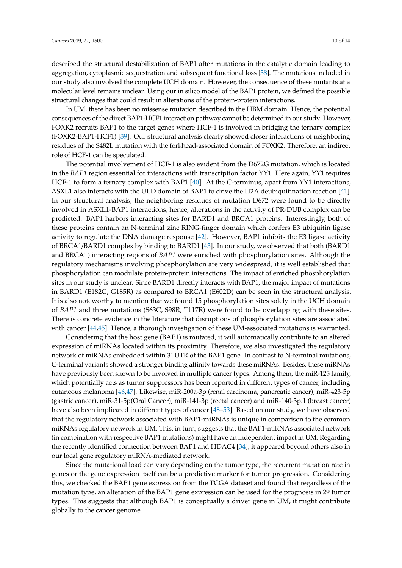described the structural destabilization of BAP1 after mutations in the catalytic domain leading to aggregation, cytoplasmic sequestration and subsequent functional loss [38]. The mutations included in our study also involved the complete UCH domain. However, the consequence of these mutants at a molecular level remains unclear. Using our in silico model of the BAP1 protein, we defined the possible structural changes that could result in alterations of the protein-protein interactions.

In UM, there has been no missense mutation described in the HBM domain. Hence, the potential consequences of the direct BAP1-HCF1 interaction pathway cannot be determined in our study. However, FOXK2 recruits BAP1 to the target genes where HCF-1 is involved in bridging the ternary complex (FOXK2-BAP1-HCF1) [39]. Our structural analysis clearly showed closer interactions of neighboring residues of the S482L mutation with the forkhead-associated domain of FOXK2. Therefore, an indirect role of HCF-1 can be speculated.

The potential involvement of HCF-1 is also evident from the D672G mutation, which is located in the *BAP1* region essential for interactions with transcription factor YY1. Here again, YY1 requires HCF-1 to form a ternary complex with BAP1 [40]. At the C-terminus, apart from YY1 interactions, ASXL1 also interacts with the ULD domain of BAP1 to drive the H2A deubiquitination reaction [41]. In our structural analysis, the neighboring residues of mutation D672 were found to be directly involved in ASXL1-BAP1 interactions; hence, alterations in the activity of PR-DUB complex can be predicted. BAP1 harbors interacting sites for BARD1 and BRCA1 proteins. Interestingly, both of these proteins contain an N-terminal zinc RING-finger domain which confers E3 ubiquitin ligase activity to regulate the DNA damage response [42]. However, BAP1 inhibits the E3 ligase activity of BRCA1/BARD1 complex by binding to BARD1 [43]. In our study, we observed that both (BARD1 and BRCA1) interacting regions of *BAP1* were enriched with phosphorylation sites. Although the regulatory mechanisms involving phosphorylation are very widespread, it is well established that phosphorylation can modulate protein-protein interactions. The impact of enriched phosphorylation sites in our study is unclear. Since BARD1 directly interacts with BAP1, the major impact of mutations in BARD1 (E182G, G185R) as compared to BRCA1 (E602D) can be seen in the structural analysis. It is also noteworthy to mention that we found 15 phosphorylation sites solely in the UCH domain of *BAP1* and three mutations (S63C, S98R, T117R) were found to be overlapping with these sites. There is concrete evidence in the literature that disruptions of phosphorylation sites are associated with cancer [44,45]. Hence, a thorough investigation of these UM-associated mutations is warranted.

Considering that the host gene (BAP1) is mutated, it will automatically contribute to an altered expression of miRNAs located within its proximity. Therefore, we also investigated the regulatory network of miRNAs embedded within 3<sup> $\cdot$ </sup> UTR of the BAP1 gene. In contrast to N-terminal mutations, C-terminal variants showed a stronger binding affinity towards these miRNAs. Besides, these miRNAs have previously been shown to be involved in multiple cancer types. Among them, the miR-125 family, which potentially acts as tumor suppressors has been reported in different types of cancer, including cutaneous melanoma [46,47]. Likewise, miR-200a-3p (renal carcinoma, pancreatic cancer), miR-423-5p (gastric cancer), miR-31-5p(Oral Cancer), miR-141-3p (rectal cancer) and miR-140-3p.1 (breast cancer) have also been implicated in different types of cancer [48–53]. Based on our study, we have observed that the regulatory network associated with BAP1-miRNAs is unique in comparison to the common miRNAs regulatory network in UM. This, in turn, suggests that the BAP1-miRNAs associated network (in combination with respective BAP1 mutations) might have an independent impact in UM. Regarding the recently identified connection between BAP1 and HDAC4 [34], it appeared beyond others also in our local gene regulatory miRNA-mediated network.

Since the mutational load can vary depending on the tumor type, the recurrent mutation rate in genes or the gene expression itself can be a predictive marker for tumor progression. Considering this, we checked the BAP1 gene expression from the TCGA dataset and found that regardless of the mutation type, an alteration of the BAP1 gene expression can be used for the prognosis in 29 tumor types. This suggests that although BAP1 is conceptually a driver gene in UM, it might contribute globally to the cancer genome.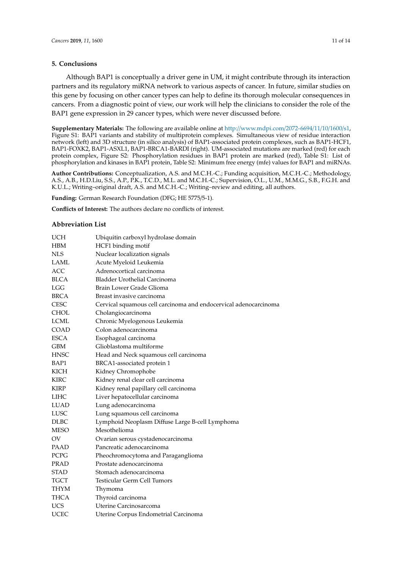## **5. Conclusions**

Although BAP1 is conceptually a driver gene in UM, it might contribute through its interaction partners and its regulatory miRNA network to various aspects of cancer. In future, similar studies on this gene by focusing on other cancer types can help to define its thorough molecular consequences in cancers. From a diagnostic point of view, our work will help the clinicians to consider the role of the BAP1 gene expression in 29 cancer types, which were never discussed before.

**Supplementary Materials:** The following are available online at http://www.mdpi.com/2072-6694/11/10/1600/s1, Figure S1: BAP1 variants and stability of multiprotein complexes. Simultaneous view of residue interaction network (left) and 3D structure (in silico analysis) of BAP1-associated protein complexes, such as BAP1-HCF1, BAP1-FOXK2, BAP1-ASXL1, BAP1-BRCA1-BARDI (right). UM-associated mutations are marked (red) for each protein complex, Figure S2: Phosphorylation residues in BAP1 protein are marked (red), Table S1: List of phosphorylation and kinases in BAP1 protein, Table S2: Minimum free energy (mfe) values for BAP1 and miRNAs.

**Author Contributions:** Conceptualization, A.S. and M.C.H.-C.; Funding acquisition, M.C.H.-C.; Methodology, A.S., A.B., H.D.Liu, S.S., A.P., P.K., T.C.D., M.L. and M.C.H.-C.; Supervision, O.L., U.M., M.M.G., S.B., F.G.H. and K.U.L.; Writing–original draft, A.S. and M.C.H.-C.; Writing–review and editing, all authors.

**Funding:** German Research Foundation (DFG; HE 5775/5-1).

**Conflicts of Interest:** The authors declare no conflicts of interest.

#### **Abbreviation List**

| <b>UCH</b>  | Ubiquitin carboxyl hydrolase domain                              |
|-------------|------------------------------------------------------------------|
| HBM         | HCF1 binding motif                                               |
| <b>NLS</b>  | Nuclear localization signals                                     |
| <b>LAML</b> | Acute Myeloid Leukemia                                           |
| <b>ACC</b>  | Adrenocortical carcinoma                                         |
| <b>BLCA</b> | <b>Bladder Urothelial Carcinoma</b>                              |
| <b>LGG</b>  | Brain Lower Grade Glioma                                         |
| <b>BRCA</b> | Breast invasive carcinoma                                        |
| <b>CESC</b> | Cervical squamous cell carcinoma and endocervical adenocarcinoma |
| <b>CHOL</b> | Cholangiocarcinoma                                               |
| <b>LCML</b> | Chronic Myelogenous Leukemia                                     |
| <b>COAD</b> | Colon adenocarcinoma                                             |
| <b>ESCA</b> | Esophageal carcinoma                                             |
| <b>GBM</b>  | Glioblastoma multiforme                                          |
| <b>HNSC</b> | Head and Neck squamous cell carcinoma                            |
| BAP1        | BRCA1-associated protein 1                                       |
| KICH        | Kidney Chromophobe                                               |
| <b>KIRC</b> | Kidney renal clear cell carcinoma                                |
| KIRP        | Kidney renal papillary cell carcinoma                            |
| LIHC        | Liver hepatocellular carcinoma                                   |
| <b>LUAD</b> | Lung adenocarcinoma                                              |
| <b>LUSC</b> | Lung squamous cell carcinoma                                     |
| <b>DLBC</b> | Lymphoid Neoplasm Diffuse Large B-cell Lymphoma                  |
| <b>MESO</b> | Mesothelioma                                                     |
| OV          | Ovarian serous cystadenocarcinoma                                |
| <b>PAAD</b> | Pancreatic adenocarcinoma                                        |
| PCPG        | Pheochromocytoma and Paraganglioma                               |
| <b>PRAD</b> | Prostate adenocarcinoma                                          |
| STAD        | Stomach adenocarcinoma                                           |
| TGCT        | Testicular Germ Cell Tumors                                      |
| THYM        | Thymoma                                                          |
| <b>THCA</b> | Thyroid carcinoma                                                |
| <b>UCS</b>  | Uterine Carcinosarcoma                                           |
| <b>UCEC</b> | Uterine Corpus Endometrial Carcinoma                             |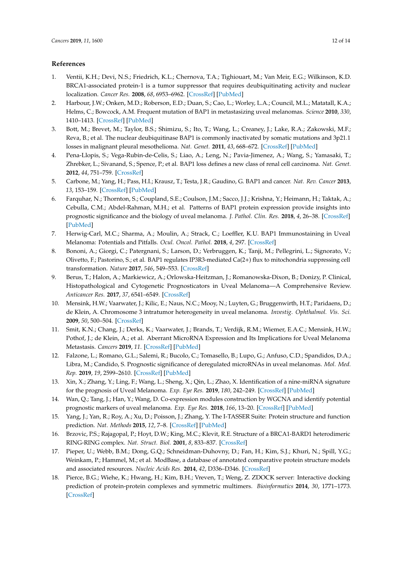## **References**

- 1. Ventii, K.H.; Devi, N.S.; Friedrich, K.L.; Chernova, T.A.; Tighiouart, M.; Van Meir, E.G.; Wilkinson, K.D. BRCA1-associated protein-1 is a tumor suppressor that requires deubiquitinating activity and nuclear localization. *Cancer Res.* **2008**, *68*, 6953–6962. [CrossRef] [PubMed]
- 2. Harbour, J.W.; Onken, M.D.; Roberson, E.D.; Duan, S.; Cao, L.; Worley, L.A.; Council, M.L.; Matatall, K.A.; Helms, C.; Bowcock, A.M. Frequent mutation of BAP1 in metastasizing uveal melanomas. *Science* **2010**, *330*, 1410–1413. [CrossRef] [PubMed]
- 3. Bott, M.; Brevet, M.; Taylor, B.S.; Shimizu, S.; Ito, T.; Wang, L.; Creaney, J.; Lake, R.A.; Zakowski, M.F.; Reva, B.; et al. The nuclear deubiquitinase BAP1 is commonly inactivated by somatic mutations and 3p21.1 losses in malignant pleural mesothelioma. *Nat. Genet.* **2011**, *43*, 668–672. [CrossRef] [PubMed]
- 4. Pena-Llopis, S.; Vega-Rubin-de-Celis, S.; Liao, A.; Leng, N.; Pavia-Jimenez, A.; Wang, S.; Yamasaki, T.; Zhrebker, L.; Sivanand, S.; Spence, P.; et al. BAP1 loss defines a new class of renal cell carcinoma. *Nat. Genet.* **2012**, *44*, 751–759. [CrossRef]
- 5. Carbone, M.; Yang, H.; Pass, H.I.; Krausz, T.; Testa, J.R.; Gaudino, G. BAP1 and cancer. *Nat. Rev. Cancer* **2013**, *13*, 153–159. [CrossRef] [PubMed]
- 6. Farquhar, N.; Thornton, S.; Coupland, S.E.; Coulson, J.M.; Sacco, J.J.; Krishna, Y.; Heimann, H.; Taktak, A.; Cebulla, C.M.; Abdel-Rahman, M.H.; et al. Patterns of BAP1 protein expression provide insights into prognostic significance and the biology of uveal melanoma. *J. Pathol. Clin. Res.* **2018**, *4*, 26–38. [CrossRef] [PubMed]
- 7. Herwig-Carl, M.C.; Sharma, A.; Moulin, A.; Strack, C.; Loeffler, K.U. BAP1 Immunostaining in Uveal Melanoma: Potentials and Pitfalls. *Ocul. Oncol. Pathol.* **2018**, *4*, 297. [CrossRef]
- 8. Bononi, A.; Giorgi, C.; Patergnani, S.; Larson, D.; Verbruggen, K.; Tanji, M.; Pellegrini, L.; Signorato, V.; Olivetto, F.; Pastorino, S.; et al. BAP1 regulates IP3R3-mediated Ca(2+) flux to mitochondria suppressing cell transformation. *Nature* **2017**, *546*, 549–553. [CrossRef]
- 9. Berus, T.; Halon, A.; Markiewicz, A.; Orlowska-Heitzman, J.; Romanowska-Dixon, B.; Donizy, P. Clinical, Histopathological and Cytogenetic Prognosticators in Uveal Melanoma—A Comprehensive Review. *Anticancer Res.* **2017**, *37*, 6541–6549. [CrossRef]
- 10. Mensink, H.W.; Vaarwater, J.; Kilic, E.; Naus, N.C.; Mooy, N.; Luyten, G.; Bruggenwirth, H.T.; Paridaens, D.; de Klein, A. Chromosome 3 intratumor heterogeneity in uveal melanoma. *Investig. Ophthalmol. Vis. Sci.* **2009**, *50*, 500–504. [CrossRef]
- 11. Smit, K.N.; Chang, J.; Derks, K.; Vaarwater, J.; Brands, T.; Verdijk, R.M.; Wiemer, E.A.C.; Mensink, H.W.; Pothof, J.; de Klein, A.; et al. Aberrant MicroRNA Expression and Its Implications for Uveal Melanoma Metastasis. *Cancers* **2019**, *11*. [CrossRef] [PubMed]
- 12. Falzone, L.; Romano, G.L.; Salemi, R.; Bucolo, C.; Tomasello, B.; Lupo, G.; Anfuso, C.D.; Spandidos, D.A.; Libra, M.; Candido, S. Prognostic significance of deregulated microRNAs in uveal melanomas. *Mol. Med. Rep.* **2019**, *19*, 2599–2610. [CrossRef] [PubMed]
- 13. Xin, X.; Zhang, Y.; Ling, F.; Wang, L.; Sheng, X.; Qin, L.; Zhao, X. Identification of a nine-miRNA signature for the prognosis of Uveal Melanoma. *Exp. Eye Res.* **2019**, *180*, 242–249. [CrossRef] [PubMed]
- 14. Wan, Q.; Tang, J.; Han, Y.; Wang, D. Co-expression modules construction by WGCNA and identify potential prognostic markers of uveal melanoma. *Exp. Eye Res.* **2018**, *166*, 13–20. [CrossRef] [PubMed]
- 15. Yang, J.; Yan, R.; Roy, A.; Xu, D.; Poisson, J.; Zhang, Y. The I-TASSER Suite: Protein structure and function prediction. *Nat. Methods* **2015**, *12*, 7–8. [CrossRef] [PubMed]
- 16. Brzovic, P.S.; Rajagopal, P.; Hoyt, D.W.; King, M.C.; Klevit, R.E. Structure of a BRCA1-BARD1 heterodimeric RING-RING complex. *Nat. Struct. Biol.* **2001**, *8*, 833–837. [CrossRef]
- 17. Pieper, U.; Webb, B.M.; Dong, G.Q.; Schneidman-Duhovny, D.; Fan, H.; Kim, S.J.; Khuri, N.; Spill, Y.G.; Weinkam, P.; Hammel, M.; et al. ModBase, a database of annotated comparative protein structure models and associated resources. *Nucleic Acids Res.* **2014**, *42*, D336–D346. [CrossRef]
- 18. Pierce, B.G.; Wiehe, K.; Hwang, H.; Kim, B.H.; Vreven, T.; Weng, Z. ZDOCK server: Interactive docking prediction of protein-protein complexes and symmetric multimers. *Bioinformatics* **2014**, *30*, 1771–1773. [CrossRef]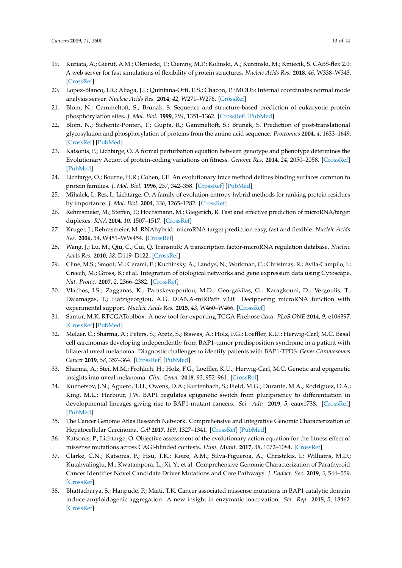- 19. Kuriata, A.; Gierut, A.M.; Oleniecki, T.; Ciemny, M.P.; Kolinski, A.; Kurcinski, M.; Kmiecik, S. CABS-flex 2.0: A web server for fast simulations of flexibility of protein structures. *Nucleic Acids Res.* **2018**, *46*, W338–W343. [CrossRef]
- 20. Lopez-Blanco, J.R.; Aliaga, J.I.; Quintana-Orti, E.S.; Chacon, P. iMODS: Internal coordinates normal mode analysis server. *Nucleic Acids Res.* **2014**, *42*, W271–W276. [CrossRef]
- 21. Blom, N.; Gammeltoft, S.; Brunak, S. Sequence and structure-based prediction of eukaryotic protein phosphorylation sites. *J. Mol. Biol.* **1999**, *294*, 1351–1362. [CrossRef] [PubMed]
- 22. Blom, N.; Sicheritz-Ponten, T.; Gupta, R.; Gammeltoft, S.; Brunak, S. Prediction of post-translational glycosylation and phosphorylation of proteins from the amino acid sequence. *Proteomics* **2004**, *4*, 1633–1649. [CrossRef] [PubMed]
- 23. Katsonis, P.; Lichtarge, O. A formal perturbation equation between genotype and phenotype determines the Evolutionary Action of protein-coding variations on fitness. *Genome Res.* **2014**, *24*, 2050–2058. [CrossRef] [PubMed]
- 24. Lichtarge, O.; Bourne, H.R.; Cohen, F.E. An evolutionary trace method defines binding surfaces common to protein families. *J. Mol. Biol.* **1996**, *257*, 342–358. [CrossRef] [PubMed]
- 25. Mihalek, I.; Res, I.; Lichtarge, O. A family of evolution-entropy hybrid methods for ranking protein residues by importance. *J. Mol. Biol.* **2004**, *336*, 1265–1282. [CrossRef]
- 26. Rehmsmeier, M.; Steffen, P.; Hochsmann, M.; Giegerich, R. Fast and effective prediction of microRNA/target duplexes. *RNA* **2004**, *10*, 1507–1517. [CrossRef]
- 27. Kruger, J.; Rehmsmeier, M. RNAhybrid: microRNA target prediction easy, fast and flexible. *Nucleic Acids Res.* **2006**, *34*, W451–WW454. [CrossRef]
- 28. Wang, J.; Lu, M.; Qiu, C.; Cui, Q. TransmiR: A transcription factor-microRNA regulation database. *Nucleic Acids Res.* **2010**, *38*, D119–D122. [CrossRef]
- 29. Cline, M.S.; Smoot, M.; Cerami, E.; Kuchinsky, A.; Landys, N.; Workman, C.; Christmas, R.; Avila-Campilo, I.; Creech, M.; Gross, B.; et al. Integration of biological networks and gene expression data using Cytoscape. *Nat. Protoc.* **2007**, *2*, 2366–2382. [CrossRef]
- 30. Vlachos, I.S.; Zagganas, K.; Paraskevopoulou, M.D.; Georgakilas, G.; Karagkouni, D.; Vergoulis, T.; Dalamagas, T.; Hatzigeorgiou, A.G. DIANA-miRPath v3.0: Deciphering microRNA function with experimental support. *Nucleic Acids Res.* **2015**, *43*, W460–W466. [CrossRef]
- 31. Samur, M.K. RTCGAToolbox: A new tool for exporting TCGA Firehose data. *PLoS ONE* **2014**, *9*, e106397. [CrossRef] [PubMed]
- 32. Melzer, C.; Sharma, A.; Peters, S.; Aretz, S.; Biswas, A.; Holz, F.G.; Loeffler, K.U.; Herwig-Carl, M.C. Basal cell carcinomas developing independently from BAP1-tumor predisposition syndrome in a patient with bilateral uveal melanoma: Diagnostic challenges to identify patients with BAP1-TPDS. *Genes Chromosomes Cancer* **2019**, *58*, 357–364. [CrossRef] [PubMed]
- 33. Sharma, A.; Stei, M.M.; Frohlich, H.; Holz, F.G.; Loeffler, K.U.; Herwig-Carl, M.C. Genetic and epigenetic insights into uveal melanoma. *Clin. Genet.* **2018**, *93*, 952–961. [CrossRef]
- 34. Kuznetsov, J.N.; Aguero, T.H.; Owens, D.A.; Kurtenbach, S.; Field, M.G.; Durante, M.A.; Rodriguez, D.A.; King, M.L.; Harbour, J.W. BAP1 regulates epigenetic switch from pluripotency to differentiation in developmental lineages giving rise to BAP1-mutant cancers. *Sci. Adv.* **2019**, *5*, eaax1738. [CrossRef] [PubMed]
- 35. The Cancer Genome Atlas Research Network. Comprehensive and Integrative Genomic Characterization of Hepatocellular Carcinoma. *Cell* **2017**, *169*, 1327–1341. [CrossRef] [PubMed]
- 36. Katsonis, P.; Lichtarge, O. Objective assessment of the evolutionary action equation for the fitness effect of missense mutations across CAGI-blinded contests. *Hum. Mutat.* **2017**, *38*, 1072–1084. [CrossRef]
- 37. Clarke, C.N.; Katsonis, P.; Hsu, T.K.; Koire, A.M.; Silva-Figueroa, A.; Christakis, I.; Williams, M.D.; Kutahyalioglu, M.; Kwatampora, L.; Xi, Y.; et al. Comprehensive Genomic Characterization of Parathyroid Cancer Identifies Novel Candidate Driver Mutations and Core Pathways. *J. Endocr. Soc.* **2019**, *3*, 544–559. [CrossRef]
- 38. Bhattacharya, S.; Hanpude, P.; Maiti, T.K. Cancer associated missense mutations in BAP1 catalytic domain induce amyloidogenic aggregation: A new insight in enzymatic inactivation. *Sci. Rep.* **2015**, *5*, 18462. [CrossRef]